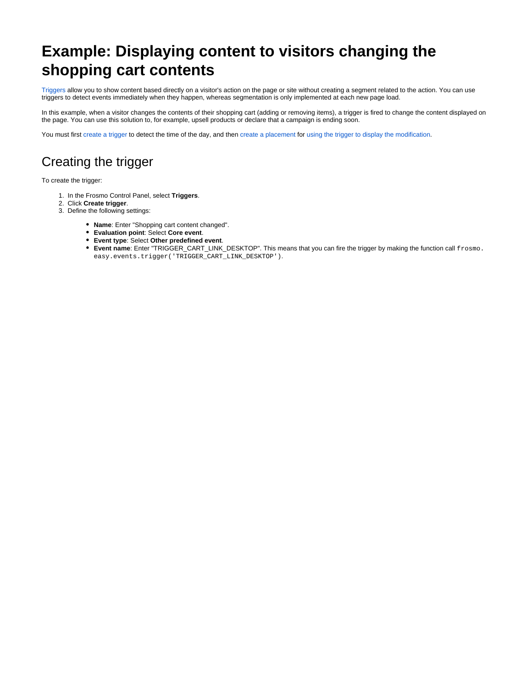# **Example: Displaying content to visitors changing the shopping cart contents**

[Triggers](https://docs.frosmo.com/display/platform/Feature%3A+Trigger) allow you to show content based directly on a visitor's action on the page or site without creating a segment related to the action. You can use triggers to detect events immediately when they happen, whereas segmentation is only implemented at each new page load.

In this example, when a visitor changes the contents of their shopping cart (adding or removing items), a trigger is fired to change the content displayed on the page. You can use this solution to, for example, upsell products or declare that a campaign is ending soon.

You must first [create a trigger](#page-0-0) to detect the time of the day, and then [create a placement](#page-1-0) for [using the trigger to display the modification](#page-2-0).

### <span id="page-0-0"></span>Creating the trigger

To create the trigger:

- 1. In the Frosmo Control Panel, select **Triggers**.
- 2. Click **Create trigger**.
- 3. Define the following settings:
	- **Name**: Enter "Shopping cart content changed".
	- **Evaluation point**: Select **Core event**.
	- **Event type**: Select **Other predefined event**.
	- **Event name**: Enter "TRIGGER\_CART\_LINK\_DESKTOP". This means that you can fire the trigger by making the function call frosmo. easy.events.trigger('TRIGGER\_CART\_LINK\_DESKTOP').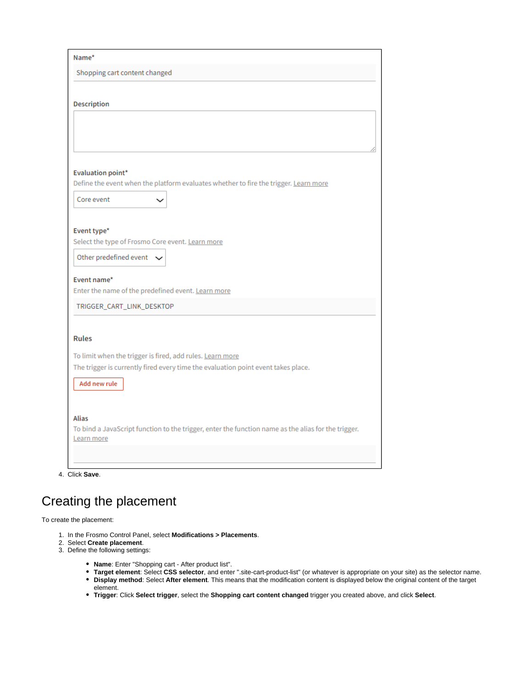| Name*                                                                                                            |
|------------------------------------------------------------------------------------------------------------------|
| Shopping cart content changed                                                                                    |
|                                                                                                                  |
| <b>Description</b>                                                                                               |
|                                                                                                                  |
|                                                                                                                  |
|                                                                                                                  |
|                                                                                                                  |
| <b>Evaluation point*</b><br>Define the event when the platform evaluates whether to fire the trigger. Learn more |
| Core event                                                                                                       |
|                                                                                                                  |
|                                                                                                                  |
| Event type*<br>Select the type of Frosmo Core event. Learn more                                                  |
| Other predefined event $\sim$                                                                                    |
|                                                                                                                  |
| Event name*                                                                                                      |
| Enter the name of the predefined event. Learn more                                                               |
| TRIGGER_CART_LINK_DESKTOP                                                                                        |
|                                                                                                                  |
| <b>Rules</b>                                                                                                     |
| To limit when the trigger is fired, add rules. Learn more                                                        |
| The trigger is currently fired every time the evaluation point event takes place.                                |
| Add new rule                                                                                                     |
|                                                                                                                  |
| <b>Alias</b>                                                                                                     |
| To bind a JavaScript function to the trigger, enter the function name as the alias for the trigger.              |
| Learn more                                                                                                       |
|                                                                                                                  |
|                                                                                                                  |

4. Click **Save**.

### <span id="page-1-0"></span>Creating the placement

To create the placement:

- 1. In the Frosmo Control Panel, select **Modifications > Placements**.
- 2. Select **Create placement**.
- 3. Define the following settings:
	- **Name**: Enter "Shopping cart After product list".
	- **Target element**: Select **CSS selector**, and enter ".site-cart-product-list" (or whatever is appropriate on your site) as the selector name. **Display method**: Select **After element**. This means that the modification content is displayed below the original content of the target
	- element.
	- **Trigger**: Click **Select trigger**, select the **Shopping cart content changed** trigger you created above, and click **Select**.